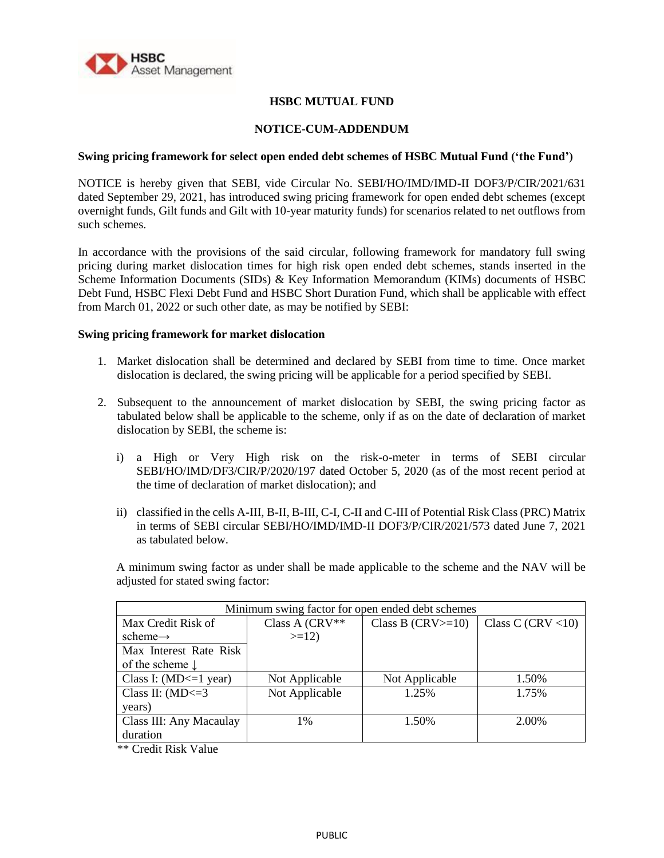

# **HSBC MUTUAL FUND**

## **NOTICE-CUM-ADDENDUM**

#### **Swing pricing framework for select open ended debt schemes of HSBC Mutual Fund ('the Fund')**

NOTICE is hereby given that SEBI, vide Circular No. SEBI/HO/IMD/IMD-II DOF3/P/CIR/2021/631 dated September 29, 2021, has introduced swing pricing framework for open ended debt schemes (except overnight funds, Gilt funds and Gilt with 10-year maturity funds) for scenarios related to net outflows from such schemes.

In accordance with the provisions of the said circular, following framework for mandatory full swing pricing during market dislocation times for high risk open ended debt schemes, stands inserted in the Scheme Information Documents (SIDs) & Key Information Memorandum (KIMs) documents of HSBC Debt Fund, HSBC Flexi Debt Fund and HSBC Short Duration Fund, which shall be applicable with effect from March 01, 2022 or such other date, as may be notified by SEBI:

### **Swing pricing framework for market dislocation**

- 1. Market dislocation shall be determined and declared by SEBI from time to time. Once market dislocation is declared, the swing pricing will be applicable for a period specified by SEBI.
- 2. Subsequent to the announcement of market dislocation by SEBI, the swing pricing factor as tabulated below shall be applicable to the scheme, only if as on the date of declaration of market dislocation by SEBI, the scheme is:
	- i) a High or Very High risk on the risk-o-meter in terms of SEBI circular SEBI/HO/IMD/DF3/CIR/P/2020/197 dated October 5, 2020 (as of the most recent period at the time of declaration of market dislocation); and
	- ii) classified in the cells A-III, B-II, B-III, C-I, C-II and C-III of Potential Risk Class (PRC) Matrix in terms of SEBI circular SEBI/HO/IMD/IMD-II DOF3/P/CIR/2021/573 dated June 7, 2021 as tabulated below.

A minimum swing factor as under shall be made applicable to the scheme and the NAV will be adjusted for stated swing factor:

| Minimum swing factor for open ended debt schemes |                |                     |                      |  |  |  |  |
|--------------------------------------------------|----------------|---------------------|----------------------|--|--|--|--|
| Max Credit Risk of                               | Class A (CRV** | Class B $(CRV>=10)$ | Class C (CRV $<$ 10) |  |  |  |  |
| scheme $\rightarrow$                             | $>=12$         |                     |                      |  |  |  |  |
| Max Interest Rate Risk                           |                |                     |                      |  |  |  |  |
| of the scheme $\downarrow$                       |                |                     |                      |  |  |  |  |
| Class I: $(MD \leq 1$ year)                      | Not Applicable | Not Applicable      | 1.50%                |  |  |  |  |
| Class II: $(MD \leq 3$                           | Not Applicable | 1.25%               | 1.75%                |  |  |  |  |
| years)                                           |                |                     |                      |  |  |  |  |
| Class III: Any Macaulay                          | 1%             | 1.50%               | 2.00%                |  |  |  |  |
| duration                                         |                |                     |                      |  |  |  |  |

\*\* Credit Risk Value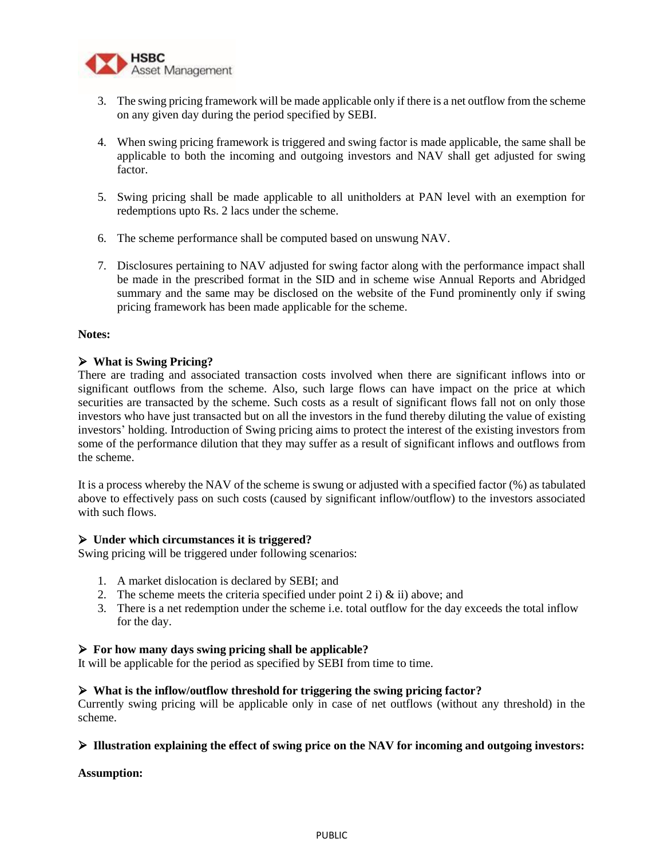

- 3. The swing pricing framework will be made applicable only if there is a net outflow from the scheme on any given day during the period specified by SEBI.
- 4. When swing pricing framework is triggered and swing factor is made applicable, the same shall be applicable to both the incoming and outgoing investors and NAV shall get adjusted for swing factor.
- 5. Swing pricing shall be made applicable to all unitholders at PAN level with an exemption for redemptions upto Rs. 2 lacs under the scheme.
- 6. The scheme performance shall be computed based on unswung NAV.
- 7. Disclosures pertaining to NAV adjusted for swing factor along with the performance impact shall be made in the prescribed format in the SID and in scheme wise Annual Reports and Abridged summary and the same may be disclosed on the website of the Fund prominently only if swing pricing framework has been made applicable for the scheme.

### **Notes:**

# **What is Swing Pricing?**

There are trading and associated transaction costs involved when there are significant inflows into or significant outflows from the scheme. Also, such large flows can have impact on the price at which securities are transacted by the scheme. Such costs as a result of significant flows fall not on only those investors who have just transacted but on all the investors in the fund thereby diluting the value of existing investors' holding. Introduction of Swing pricing aims to protect the interest of the existing investors from some of the performance dilution that they may suffer as a result of significant inflows and outflows from the scheme.

It is a process whereby the NAV of the scheme is swung or adjusted with a specified factor (%) as tabulated above to effectively pass on such costs (caused by significant inflow/outflow) to the investors associated with such flows.

## **Under which circumstances it is triggered?**

Swing pricing will be triggered under following scenarios:

- 1. A market dislocation is declared by SEBI; and
- 2. The scheme meets the criteria specified under point 2 i)  $\&$  ii) above; and
- 3. There is a net redemption under the scheme i.e. total outflow for the day exceeds the total inflow for the day.

## **For how many days swing pricing shall be applicable?**

It will be applicable for the period as specified by SEBI from time to time.

# **What is the inflow/outflow threshold for triggering the swing pricing factor?**

Currently swing pricing will be applicable only in case of net outflows (without any threshold) in the scheme.

## **Illustration explaining the effect of swing price on the NAV for incoming and outgoing investors:**

#### **Assumption:**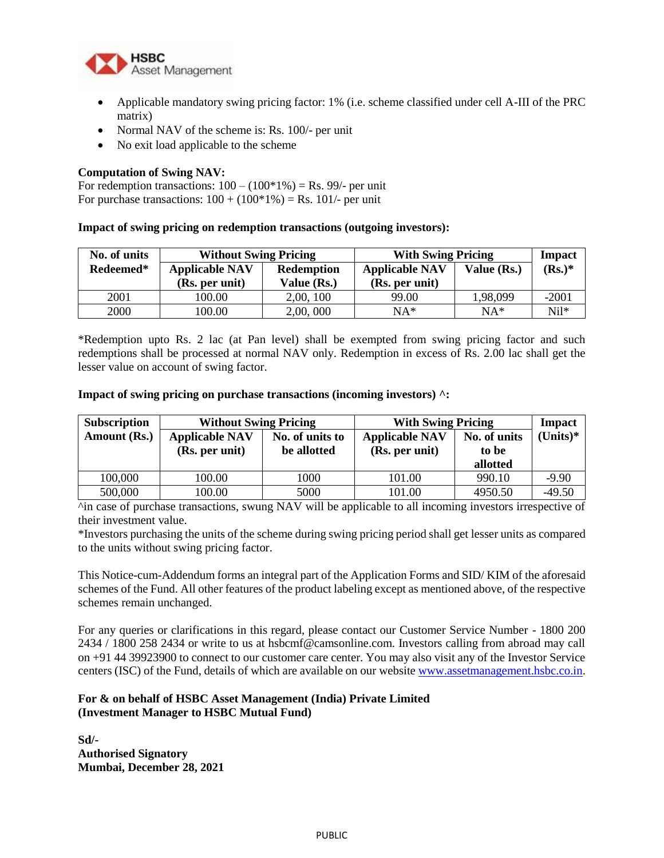

- Applicable mandatory swing pricing factor: 1% (i.e. scheme classified under cell A-III of the PRC matrix)
- Normal NAV of the scheme is: Rs. 100/- per unit
- No exit load applicable to the scheme

# **Computation of Swing NAV:**

For redemption transactions:  $100 - (100*1\%) = \text{Rs. } 99/-$  per unit For purchase transactions:  $100 + (100*1\%) = \text{Rs. } 101/$ - per unit

### **Impact of swing pricing on redemption transactions (outgoing investors):**

| No. of units | <b>Without Swing Pricing</b> |                   | <b>With Swing Pricing</b> |             | <b>Impact</b> |
|--------------|------------------------------|-------------------|---------------------------|-------------|---------------|
| Redeemed*    | <b>Applicable NAV</b>        | <b>Redemption</b> | <b>Applicable NAV</b>     | Value (Rs.) | $(Rs.)^*$     |
|              | (Rs. per unit)               | Value (Rs.)       | (Rs. per unit)            |             |               |
| 2001         | 100.00                       | 2,00, 100         | 99.00                     | 1,98,099    | $-2001$       |
| 2000         | 100.00                       | 2,00,000          | $NA*$                     | $NA*$       | $Ni1*$        |

\*Redemption upto Rs. 2 lac (at Pan level) shall be exempted from swing pricing factor and such redemptions shall be processed at normal NAV only. Redemption in excess of Rs. 2.00 lac shall get the lesser value on account of swing factor.

#### **Impact of swing pricing on purchase transactions (incoming investors) ^:**

| <b>Subscription</b> | <b>Without Swing Pricing</b> |                 | <b>With Swing Pricing</b> |              | <b>Impact</b> |
|---------------------|------------------------------|-----------------|---------------------------|--------------|---------------|
| Amount (Rs.)        | <b>Applicable NAV</b>        | No. of units to | <b>Applicable NAV</b>     | No. of units | $(Units)*$    |
|                     | (Rs. per unit)               | be allotted     | (Rs. per unit)            | to be        |               |
|                     |                              |                 |                           | allotted     |               |
| 100,000             | 100.00                       | 1000            | 101.00                    | 990.10       | $-9.90$       |
| 500,000             | 100.00                       | 5000            | 101.00                    | 4950.50      | $-49.50$      |

^in case of purchase transactions, swung NAV will be applicable to all incoming investors irrespective of their investment value.

\*Investors purchasing the units of the scheme during swing pricing period shall get lesser units as compared to the units without swing pricing factor.

This Notice-cum-Addendum forms an integral part of the Application Forms and SID/ KIM of the aforesaid schemes of the Fund. All other features of the product labeling except as mentioned above, of the respective schemes remain unchanged.

For any queries or clarifications in this regard, please contact our Customer Service Number - 1800 200 2434 / 1800 258 2434 or write to us at hsbcmf@camsonline.com. Investors calling from abroad may call on +91 44 39923900 to connect to our customer care center. You may also visit any of the Investor Service centers (ISC) of the Fund, details of which are available on our websit[e www.assetmanagement.hsbc.co.in.](http://www.assetmanagement.hsbc.co.in/)

# **For & on behalf of HSBC Asset Management (India) Private Limited (Investment Manager to HSBC Mutual Fund)**

**Sd/- Authorised Signatory Mumbai, December 28, 2021**